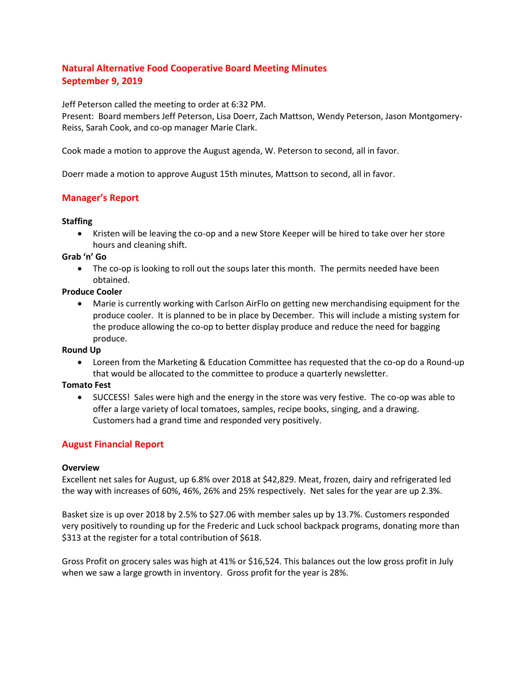# **Natural Alternative Food Cooperative Board Meeting Minutes September 9, 2019**

Jeff Peterson called the meeting to order at 6:32 PM.

Present: Board members Jeff Peterson, Lisa Doerr, Zach Mattson, Wendy Peterson, Jason Montgomery-Reiss, Sarah Cook, and co-op manager Marie Clark.

Cook made a motion to approve the August agenda, W. Peterson to second, all in favor.

Doerr made a motion to approve August 15th minutes, Mattson to second, all in favor.

# **Manager's Report**

#### **Staffing**

 Kristen will be leaving the co-op and a new Store Keeper will be hired to take over her store hours and cleaning shift.

#### **Grab 'n' Go**

• The co-op is looking to roll out the soups later this month. The permits needed have been obtained.

#### **Produce Cooler**

 Marie is currently working with Carlson AirFlo on getting new merchandising equipment for the produce cooler. It is planned to be in place by December. This will include a misting system for the produce allowing the co-op to better display produce and reduce the need for bagging produce.

### **Round Up**

 Loreen from the Marketing & Education Committee has requested that the co-op do a Round-up that would be allocated to the committee to produce a quarterly newsletter.

### **Tomato Fest**

• SUCCESS! Sales were high and the energy in the store was very festive. The co-op was able to offer a large variety of local tomatoes, samples, recipe books, singing, and a drawing. Customers had a grand time and responded very positively.

### **August Financial Report**

#### **Overview**

Excellent net sales for August, up 6.8% over 2018 at \$42,829. Meat, frozen, dairy and refrigerated led the way with increases of 60%, 46%, 26% and 25% respectively. Net sales for the year are up 2.3%.

Basket size is up over 2018 by 2.5% to \$27.06 with member sales up by 13.7%. Customers responded very positively to rounding up for the Frederic and Luck school backpack programs, donating more than \$313 at the register for a total contribution of \$618.

Gross Profit on grocery sales was high at 41% or \$16,524. This balances out the low gross profit in July when we saw a large growth in inventory. Gross profit for the year is 28%.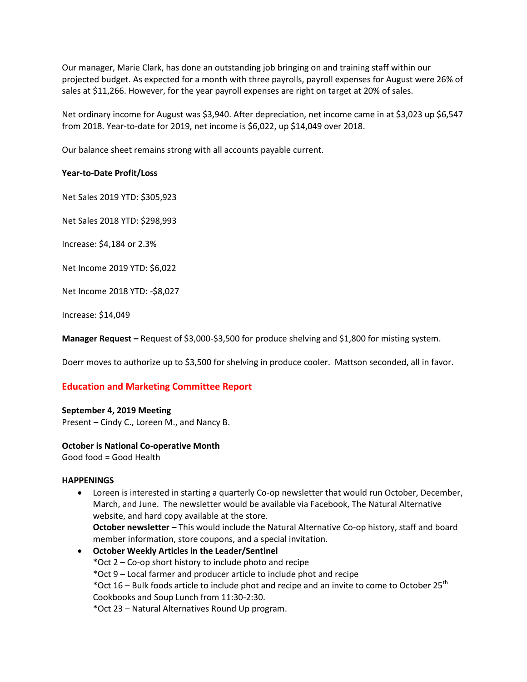Our manager, Marie Clark, has done an outstanding job bringing on and training staff within our projected budget. As expected for a month with three payrolls, payroll expenses for August were 26% of sales at \$11,266. However, for the year payroll expenses are right on target at 20% of sales.

Net ordinary income for August was \$3,940. After depreciation, net income came in at \$3,023 up \$6,547 from 2018. Year-to-date for 2019, net income is \$6,022, up \$14,049 over 2018.

Our balance sheet remains strong with all accounts payable current.

#### **Year-to-Date Profit/Loss**

Net Sales 2019 YTD: \$305,923

Net Sales 2018 YTD: \$298,993

Increase: \$4,184 or 2.3%

Net Income 2019 YTD: \$6,022

Net Income 2018 YTD: -\$8,027

Increase: \$14,049

**Manager Request –** Request of \$3,000-\$3,500 for produce shelving and \$1,800 for misting system.

Doerr moves to authorize up to \$3,500 for shelving in produce cooler. Mattson seconded, all in favor.

### **Education and Marketing Committee Report**

#### **September 4, 2019 Meeting**

Present – Cindy C., Loreen M., and Nancy B.

#### **October is National Co-operative Month**

Good food = Good Health

#### **HAPPENINGS**

- Loreen is interested in starting a quarterly Co-op newsletter that would run October, December, March, and June. The newsletter would be available via Facebook, The Natural Alternative website, and hard copy available at the store. **October newsletter –** This would include the Natural Alternative Co-op history, staff and board member information, store coupons, and a special invitation.
- **October Weekly Articles in the Leader/Sentinel** \*Oct 2 – Co-op short history to include photo and recipe \*Oct 9 – Local farmer and producer article to include phot and recipe \*Oct 16 – Bulk foods article to include phot and recipe and an invite to come to October 25<sup>th</sup> Cookbooks and Soup Lunch from 11:30-2:30.

\*Oct 23 – Natural Alternatives Round Up program.